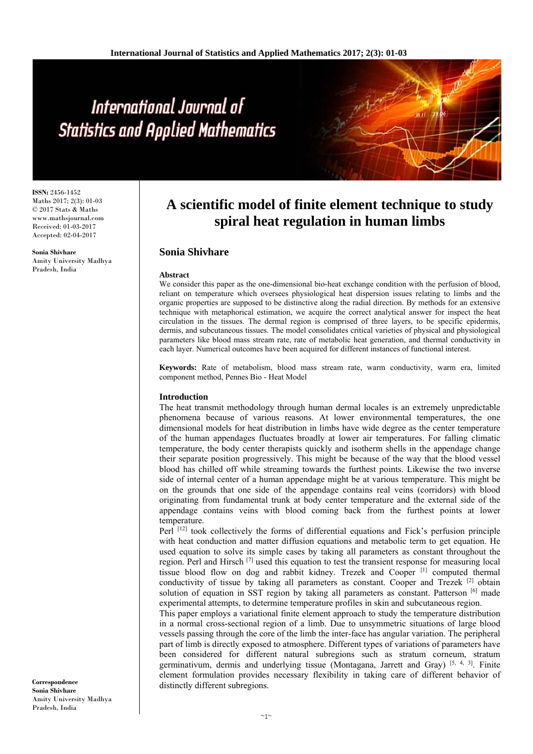# International Journal of **Statistics and Applied Mathematics**

**ISSN:** 2456-1452 Maths 2017; 2(3): 01-03 © 2017 Stats & Maths www.mathsjournal.com Received: 01-03-2017 Accepted: 02-04-2017

**Sonia Shivhare**  Amity University Madhya Pradesh, India

# **A scientific model of finite element technique to study spiral heat regulation in human limbs**

# **Sonia Shivhare**

#### **Abstract**

We consider this paper as the one-dimensional bio-heat exchange condition with the perfusion of blood, reliant on temperature which oversees physiological heat dispersion issues relating to limbs and the organic properties are supposed to be distinctive along the radial direction. By methods for an extensive technique with metaphorical estimation, we acquire the correct analytical answer for inspect the heat circulation in the tissues. The dermal region is comprised of three layers, to be specific epidermis, dermis, and subcutaneous tissues. The model consolidates critical varieties of physical and physiological parameters like blood mass stream rate, rate of metabolic heat generation, and thermal conductivity in each layer. Numerical outcomes have been acquired for different instances of functional interest.

**Keywords:** Rate of metabolism, blood mass stream rate, warm conductivity, warm era, limited component method, Pennes Bio - Heat Model

#### **Introduction**

The heat transmit methodology through human dermal locales is an extremely unpredictable phenomena because of various reasons. At lower environmental temperatures, the one dimensional models for heat distribution in limbs have wide degree as the center temperature of the human appendages fluctuates broadly at lower air temperatures. For falling climatic temperature, the body center therapists quickly and isotherm shells in the appendage change their separate position progressively. This might be because of the way that the blood vessel blood has chilled off while streaming towards the furthest points. Likewise the two inverse side of internal center of a human appendage might be at various temperature. This might be on the grounds that one side of the appendage contains real veins (corridors) with blood originating from fundamental trunk at body center temperature and the external side of the appendage contains veins with blood coming back from the furthest points at lower temperature.

Perl [12] took collectively the forms of differential equations and Fick's perfusion principle with heat conduction and matter diffusion equations and metabolic term to get equation. He used equation to solve its simple cases by taking all parameters as constant throughout the region. Perl and Hirsch [7] used this equation to test the transient response for measuring local tissue blood flow on dog and rabbit kidney. Trezek and Cooper [1] computed thermal conductivity of tissue by taking all parameters as constant. Cooper and Trezek <sup>[2]</sup> obtain solution of equation in SST region by taking all parameters as constant. Patterson  $[6]$  made experimental attempts, to determine temperature profiles in skin and subcutaneous region.

This paper employs a variational finite element approach to study the temperature distribution in a normal cross-sectional region of a limb. Due to unsymmetric situations of large blood vessels passing through the core of the limb the inter-face has angular variation. The peripheral part of limb is directly exposed to atmosphere. Different types of variations of parameters have been considered for different natural subregions such as stratum corneum, stratum germinativum, dermis and underlying tissue (Montagana, Jarrett and Gray) [5, 4, 3]. Finite element formulation provides necessary flexibility in taking care of different behavior of distinctly different subregions.

**Correspondence Sonia Shivhare**  Amity University Madhya Pradesh, India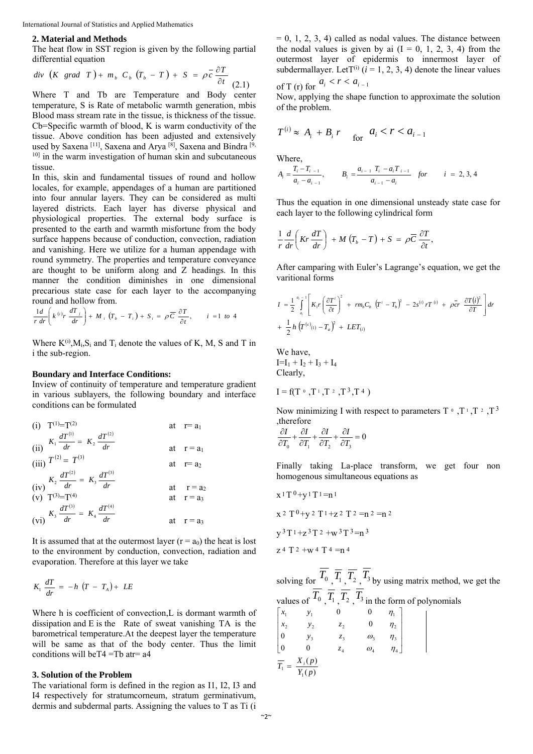#### **2. Material and Methods**

The heat flow in SST region is given by the following partial differential equation

$$
div (K grad T) + m_b C_b (T_b - T) + S = \rho \overline{c} \frac{\partial T}{\partial t}
$$
 (2.1)

Where T and Tb are Temperature and Body center temperature, S is Rate of metabolic warmth generation, mbis Blood mass stream rate in the tissue, is thickness of the tissue. Cb=Specific warmth of blood, K is warm conductivity of the tissue. Above condition has been adjusted and extensively used by Saxena <sup>[11]</sup>, Saxena and Arya <sup>[8]</sup>, Saxena and Bindra <sup>[9</sup>, <sup>10]</sup> in the warm investigation of human skin and subcutaneous tissue.

In this, skin and fundamental tissues of round and hollow locales, for example, appendages of a human are partitioned into four annular layers. They can be considered as multi layered districts. Each layer has diverse physical and physiological properties. The external body surface is presented to the earth and warmth misfortune from the body surface happens because of conduction, convection, radiation and vanishing. Here we utilize for a human appendage with round symmetry. The properties and temperature conveyance are thought to be uniform along and Z headings. In this manner the condition diminishes in one dimensional precarious state case for each layer to the accompanying round and hollow from.

$$
\frac{1}{r}\frac{d}{dr}\left(k^{(i)}r\,\frac{dT_j}{dr}\right) + M_i\left(T_b - T_i\right) + S_i = \rho\,\overline{C}\,\frac{\partial T}{\partial t}, \qquad i = 1 \text{ to } 4
$$

Where  $K^{(i)}$ ,  $M_i$ ,  $S_i$  and  $T_i$  denote the values of K, M, S and T in i the sub-region.

#### **Boundary and Interface Conditions:**

Inview of continuity of temperature and temperature gradient in various sublayers, the following boundary and interface conditions can be formulated

(i) 
$$
T^{(1)}=T^{(2)}
$$
 at  $r=a_1$   
\n(ii)  $K_1 \frac{dT^{(1)}}{dr} = K_2 \frac{dT^{(2)}}{dr}$  at  $r=a_1$   
\n(iii)  $T^{(2)} = T^{(3)}$  at  $r=a_2$   
\n(iv)  $K_2 \frac{dT^{(2)}}{dr} = K_3 \frac{dT^{(3)}}{dr}$  at  $r=a_2$   
\n(v)  $T^{(3)}=T^{(4)}$  at  $r=a_3$   
\n(vi)  $K_3 \frac{dT^{(3)}}{dr} = K_4 \frac{dT^{(4)}}{dr}$  at  $r=a_3$ 

It is assumed that at the outermost layer  $(r = a_0)$  the heat is lost to the environment by conduction, convection, radiation and evaporation. Therefore at this layer we take

$$
K_1 \frac{dT}{dr} = -h \left( T - T_A \right) + LE
$$

Where h is coefficient of convection, L is dormant warmth of dissipation and E is the Rate of sweat vanishing TA is the barometrical temperature.At the deepest layer the temperature will be same as that of the body center. Thus the limit conditions will be  $T4 = Th$  at  $r = a4$ 

#### **3. Solution of the Problem**

The variational form is defined in the region as I1, I2, I3 and I4 respectively for stratumcorneum, stratum germinativum, dermis and subdermal parts. Assigning the values to T as Ti (i

 $= 0, 1, 2, 3, 4$  called as nodal values. The distance between the nodal values is given by ai  $(I = 0, 1, 2, 3, 4)$  from the outermost layer of epidermis to innermost layer of subdermallayer. LetT<sup>(i)</sup> ( $i = 1, 2, 3, 4$ ) denote the linear values *<sup>i</sup> ai* <sup>1</sup> *a r*

of T (r) for 
$$
a_i < r < a_{i-1}
$$

Now, applying the shape function to approximate the solution of the problem.

$$
T^{(i)} \approx A_i + B_i r \quad \text{for} \quad a_i < r < a_{i-1}
$$

Where,

$$
A_i = \frac{T_i - T_{i-1}}{a_i - a_{i-1}}, \qquad B_i = \frac{a_{i-1} T_i - a_i T_{i-1}}{a_{i-1} - a_i} \quad \text{for} \qquad i = 2, 3, 4
$$

Thus the equation in one dimensional unsteady state case for each layer to the following cylindrical form

$$
\frac{1}{r}\frac{d}{dr}\left(Kr\frac{dT}{dr}\right) + M\left(T_b - T\right) + S = \rho \overline{C}\frac{\partial T}{\partial t},
$$

After camparing with Euler's Lagrange's equation, we get the varitional forms

$$
I = \frac{1}{2} \int_{a_i}^{a_i} \left[ K_i r \left( \frac{\partial T^i}{\partial t} \right)^2 + r m_b C_b \left( T^i - T_b \right)^2 - 2 s^{(i)} r T^{(i)} + \rho c r \frac{\partial T(i)^2}{\partial T} \right] dr
$$
  
+ 
$$
\frac{1}{2} h \left( T^{(c)}(i) - T_a \right)^2 + L E T_{(i)}
$$

We have,  $I=I_1 + I_2 + I_3 + I_4$ Clearly,

$$
I = f(T \circ T_1, T_2, T_3, T_4)
$$

Now minimizing I with respect to parameters  $T^{\circ}, T^{\circ}, T^{\circ}, T^{\circ}$ ,therefore

$$
\frac{\partial I}{\partial T_0} + \frac{\partial I}{\partial T_1} + \frac{\partial I}{\partial T_2} + \frac{\partial I}{\partial T_3} = 0
$$

Finally taking La-place transform, we get four non homogenous simultaneous equations as

$$
x^{1}T^{0}+y^{1}T^{1}=n^{1}
$$
  

$$
x^{2}T^{0}+y^{2}T^{1}+z^{2}T^{2}=n^{2}=n^{2}
$$
  

$$
y^{3}T^{1}+z^{3}T^{2}+w^{3}T^{3}=n^{3}
$$
  

$$
z^{4}T^{2}+w^{4}T^{4}=n^{4}
$$

solving for  $T_0$ ,  $\overline{T_1}$ ,  $\overline{T_2}$ ,  $\overline{T_3}$  by using matrix method, we get the values of  $T_0$ ,  $\overline{T_1}$ ,  $\overline{T_2}$ ,  $T_3$  in the form of polynomials J J J J  $\overline{a}$ J I L I L L L 4  $\omega_4$   $\omega_4$ 3  $\omega_3$   $\omega_3$   $\omega_1$ 2  $y_2$   $z_2$   $y_1$ 1  $y_1$  0 0  $y_1$ 0 0 0 0 0 0  $\omega_{\scriptscriptstyle 4} \hspace{1em} \eta$  $\omega_{3}$   $\eta$ η η *z*  $y_3$  *z*  $x_2$   $y_2$  *z*  $x_1$  *y*  $(p)$  $(p)$  $\overline{T_1} = \frac{X_i(p)}{Y_1(p)}$